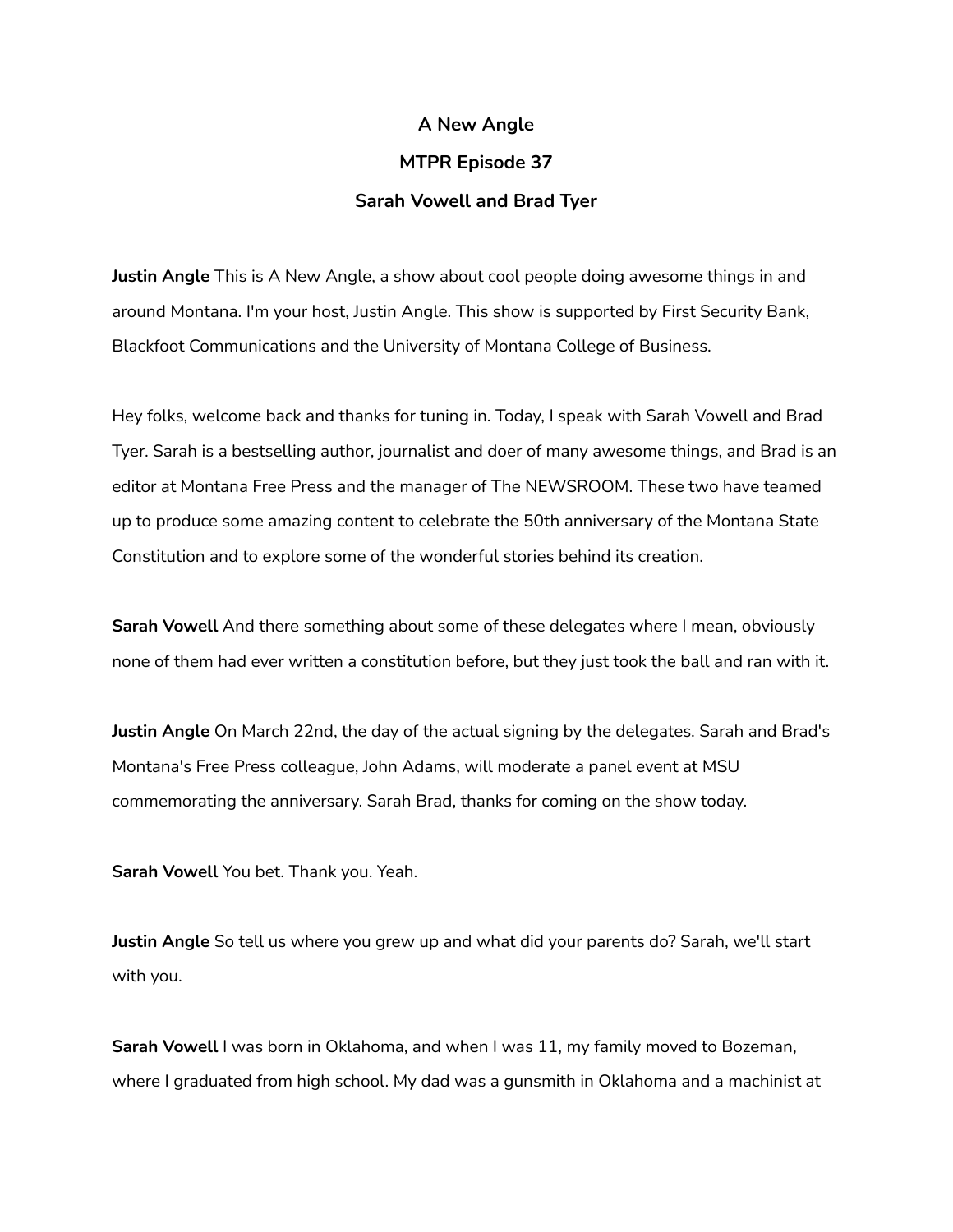## **A New Angle**

## **MTPR Episode 37**

## **Sarah Vowell and Brad Tyer**

**Justin Angle** This is A New Angle, a show about cool people doing awesome things in and around Montana. I'm your host, Justin Angle. This show is supported by First Security Bank, Blackfoot Communications and the University of Montana College of Business.

Hey folks, welcome back and thanks for tuning in. Today, I speak with Sarah Vowell and Brad Tyer. Sarah is a bestselling author, journalist and doer of many awesome things, and Brad is an editor at Montana Free Press and the manager of The NEWSROOM. These two have teamed up to produce some amazing content to celebrate the 50th anniversary of the Montana State Constitution and to explore some of the wonderful stories behind its creation.

**Sarah Vowell** And there something about some of these delegates where I mean, obviously none of them had ever written a constitution before, but they just took the ball and ran with it.

**Justin Angle** On March 22nd, the day of the actual signing by the delegates. Sarah and Brad's Montana's Free Press colleague, John Adams, will moderate a panel event at MSU commemorating the anniversary. Sarah Brad, thanks for coming on the show today.

**Sarah Vowell** You bet. Thank you. Yeah.

**Justin Angle** So tell us where you grew up and what did your parents do? Sarah, we'll start with you.

**Sarah Vowell** I was born in Oklahoma, and when I was 11, my family moved to Bozeman, where I graduated from high school. My dad was a gunsmith in Oklahoma and a machinist at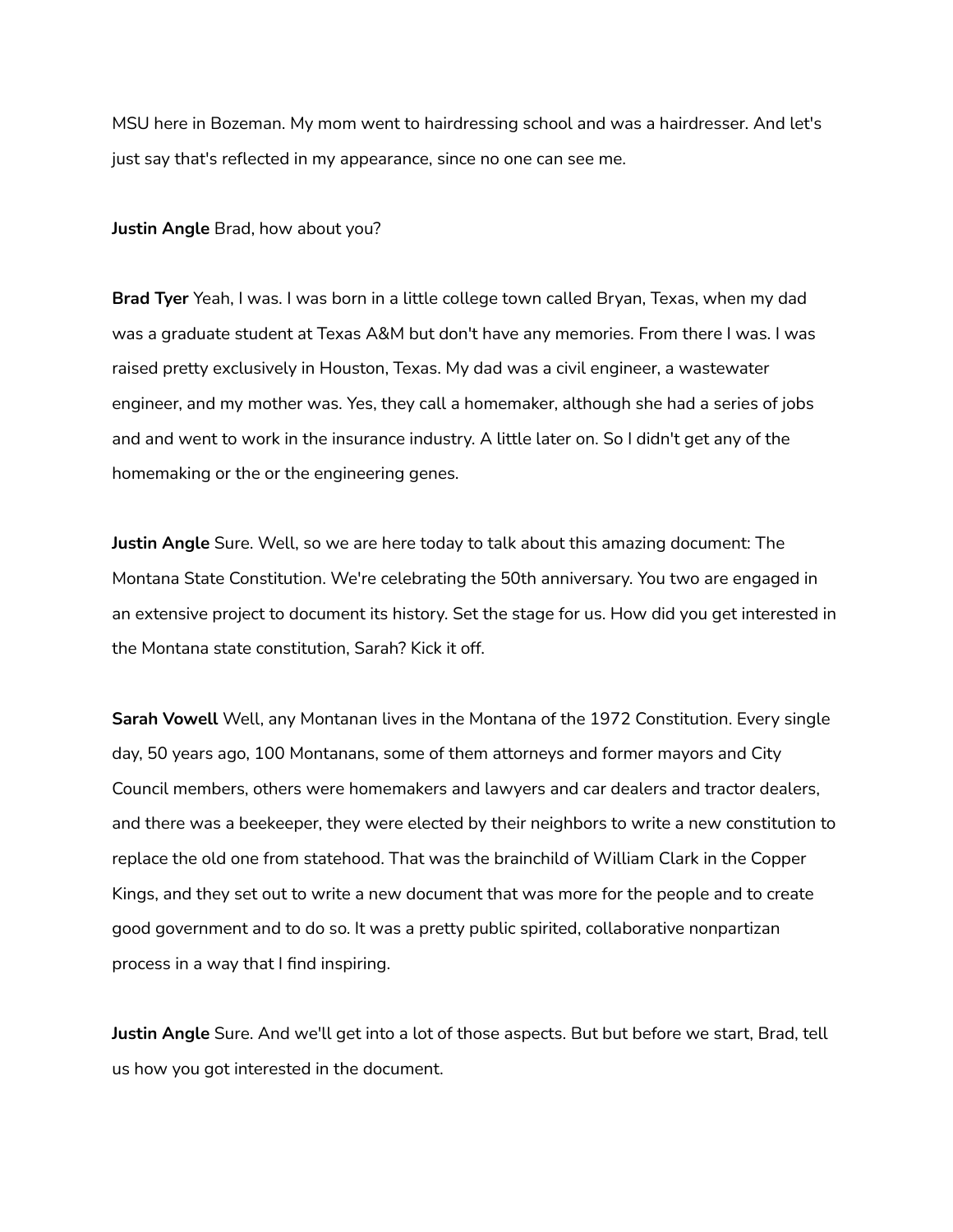MSU here in Bozeman. My mom went to hairdressing school and was a hairdresser. And let's just say that's reflected in my appearance, since no one can see me.

## **Justin Angle** Brad, how about you?

**Brad Tyer** Yeah, I was. I was born in a little college town called Bryan, Texas, when my dad was a graduate student at Texas A&M but don't have any memories. From there I was. I was raised pretty exclusively in Houston, Texas. My dad was a civil engineer, a wastewater engineer, and my mother was. Yes, they call a homemaker, although she had a series of jobs and and went to work in the insurance industry. A little later on. So I didn't get any of the homemaking or the or the engineering genes.

**Justin Angle** Sure. Well, so we are here today to talk about this amazing document: The Montana State Constitution. We're celebrating the 50th anniversary. You two are engaged in an extensive project to document its history. Set the stage for us. How did you get interested in the Montana state constitution, Sarah? Kick it off.

**Sarah Vowell** Well, any Montanan lives in the Montana of the 1972 Constitution. Every single day, 50 years ago, 100 Montanans, some of them attorneys and former mayors and City Council members, others were homemakers and lawyers and car dealers and tractor dealers, and there was a beekeeper, they were elected by their neighbors to write a new constitution to replace the old one from statehood. That was the brainchild of William Clark in the Copper Kings, and they set out to write a new document that was more for the people and to create good government and to do so. It was a pretty public spirited, collaborative nonpartizan process in a way that I find inspiring.

**Justin Angle** Sure. And we'll get into a lot of those aspects. But but before we start, Brad, tell us how you got interested in the document.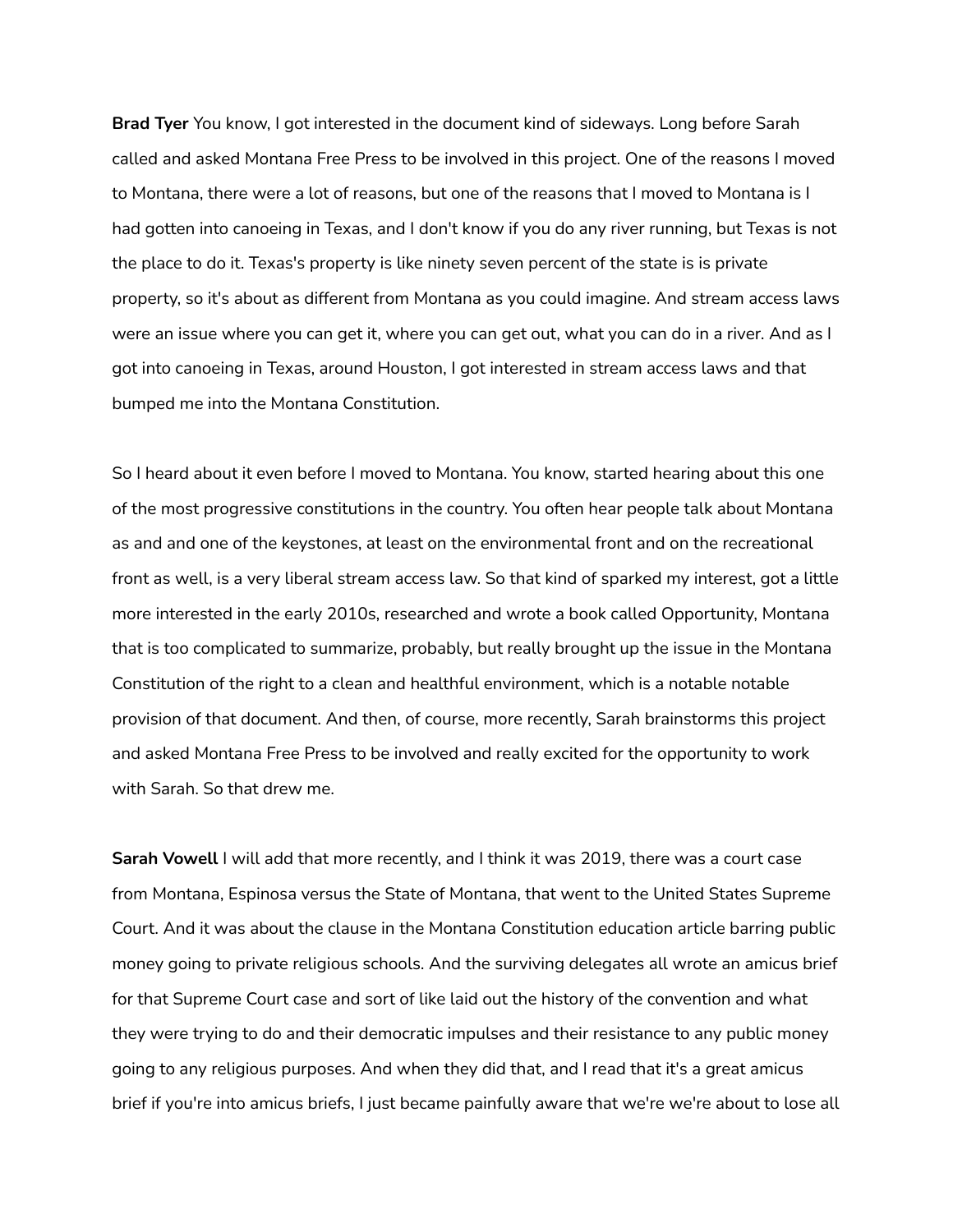**Brad Tyer** You know, I got interested in the document kind of sideways. Long before Sarah called and asked Montana Free Press to be involved in this project. One of the reasons I moved to Montana, there were a lot of reasons, but one of the reasons that I moved to Montana is I had gotten into canoeing in Texas, and I don't know if you do any river running, but Texas is not the place to do it. Texas's property is like ninety seven percent of the state is is private property, so it's about as different from Montana as you could imagine. And stream access laws were an issue where you can get it, where you can get out, what you can do in a river. And as I got into canoeing in Texas, around Houston, I got interested in stream access laws and that bumped me into the Montana Constitution.

So I heard about it even before I moved to Montana. You know, started hearing about this one of the most progressive constitutions in the country. You often hear people talk about Montana as and and one of the keystones, at least on the environmental front and on the recreational front as well, is a very liberal stream access law. So that kind of sparked my interest, got a little more interested in the early 2010s, researched and wrote a book called Opportunity, Montana that is too complicated to summarize, probably, but really brought up the issue in the Montana Constitution of the right to a clean and healthful environment, which is a notable notable provision of that document. And then, of course, more recently, Sarah brainstorms this project and asked Montana Free Press to be involved and really excited for the opportunity to work with Sarah. So that drew me.

**Sarah Vowell** I will add that more recently, and I think it was 2019, there was a court case from Montana, Espinosa versus the State of Montana, that went to the United States Supreme Court. And it was about the clause in the Montana Constitution education article barring public money going to private religious schools. And the surviving delegates all wrote an amicus brief for that Supreme Court case and sort of like laid out the history of the convention and what they were trying to do and their democratic impulses and their resistance to any public money going to any religious purposes. And when they did that, and I read that it's a great amicus brief if you're into amicus briefs, I just became painfully aware that we're we're about to lose all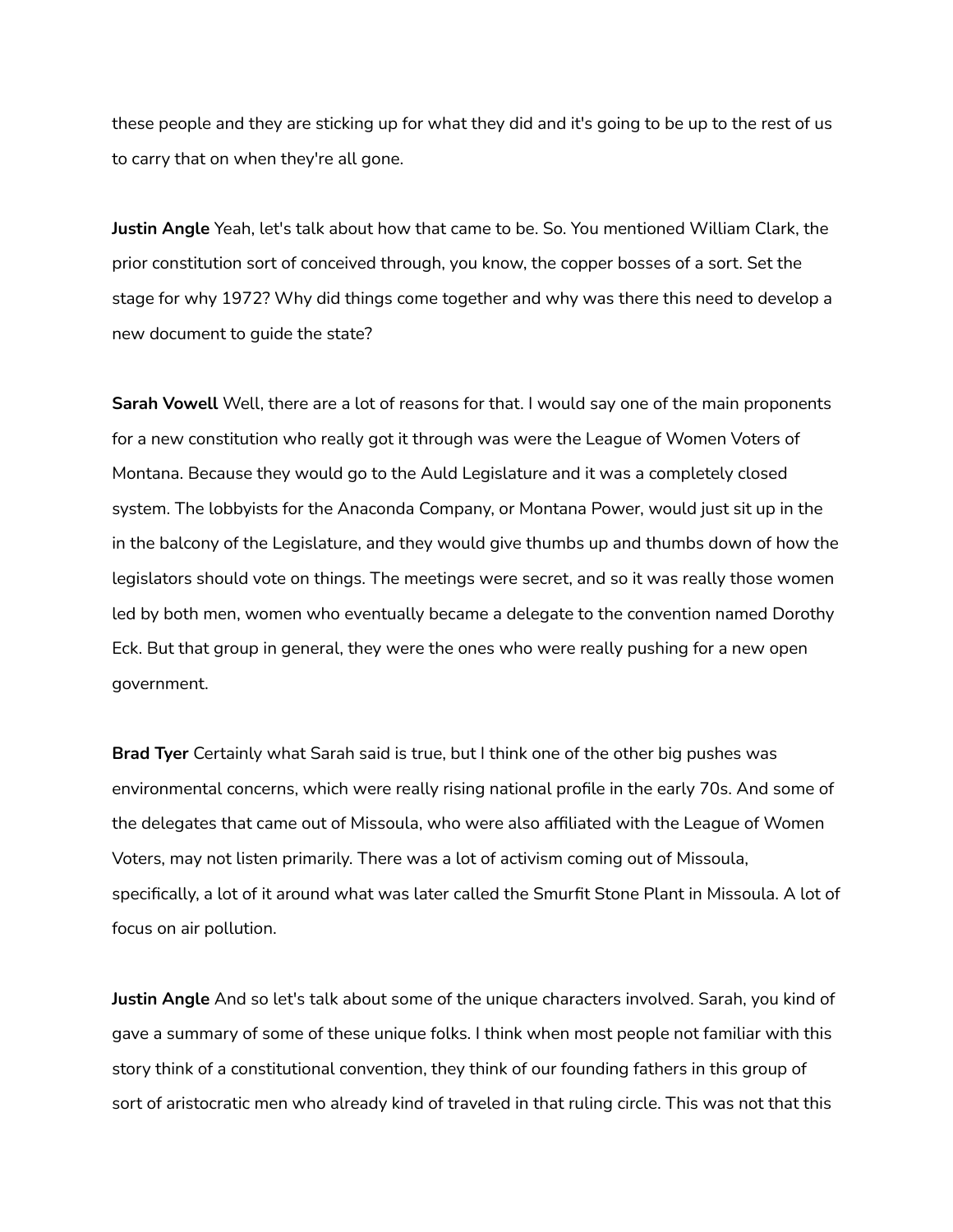these people and they are sticking up for what they did and it's going to be up to the rest of us to carry that on when they're all gone.

**Justin Angle** Yeah, let's talk about how that came to be. So. You mentioned William Clark, the prior constitution sort of conceived through, you know, the copper bosses of a sort. Set the stage for why 1972? Why did things come together and why was there this need to develop a new document to guide the state?

**Sarah Vowell** Well, there are a lot of reasons for that. I would say one of the main proponents for a new constitution who really got it through was were the League of Women Voters of Montana. Because they would go to the Auld Legislature and it was a completely closed system. The lobbyists for the Anaconda Company, or Montana Power, would just sit up in the in the balcony of the Legislature, and they would give thumbs up and thumbs down of how the legislators should vote on things. The meetings were secret, and so it was really those women led by both men, women who eventually became a delegate to the convention named Dorothy Eck. But that group in general, they were the ones who were really pushing for a new open government.

**Brad Tyer** Certainly what Sarah said is true, but I think one of the other big pushes was environmental concerns, which were really rising national profile in the early 70s. And some of the delegates that came out of Missoula, who were also affiliated with the League of Women Voters, may not listen primarily. There was a lot of activism coming out of Missoula, specifically, a lot of it around what was later called the Smurfit Stone Plant in Missoula. A lot of focus on air pollution.

**Justin Angle** And so let's talk about some of the unique characters involved. Sarah, you kind of gave a summary of some of these unique folks. I think when most people not familiar with this story think of a constitutional convention, they think of our founding fathers in this group of sort of aristocratic men who already kind of traveled in that ruling circle. This was not that this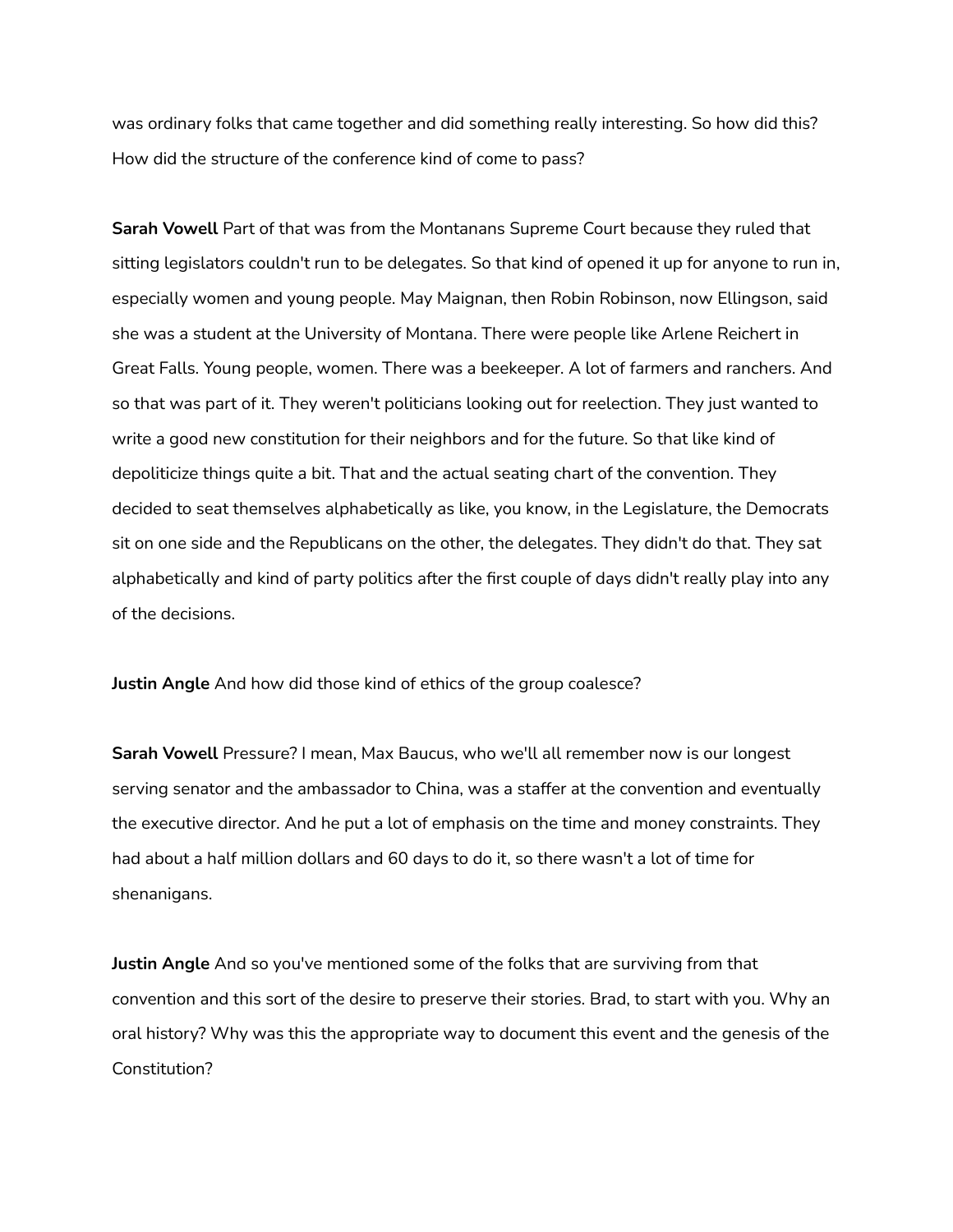was ordinary folks that came together and did something really interesting. So how did this? How did the structure of the conference kind of come to pass?

**Sarah Vowell** Part of that was from the Montanans Supreme Court because they ruled that sitting legislators couldn't run to be delegates. So that kind of opened it up for anyone to run in, especially women and young people. May Maignan, then Robin Robinson, now Ellingson, said she was a student at the University of Montana. There were people like Arlene Reichert in Great Falls. Young people, women. There was a beekeeper. A lot of farmers and ranchers. And so that was part of it. They weren't politicians looking out for reelection. They just wanted to write a good new constitution for their neighbors and for the future. So that like kind of depoliticize things quite a bit. That and the actual seating chart of the convention. They decided to seat themselves alphabetically as like, you know, in the Legislature, the Democrats sit on one side and the Republicans on the other, the delegates. They didn't do that. They sat alphabetically and kind of party politics after the first couple of days didn't really play into any of the decisions.

**Justin Angle** And how did those kind of ethics of the group coalesce?

**Sarah Vowell** Pressure? I mean, Max Baucus, who we'll all remember now is our longest serving senator and the ambassador to China, was a staffer at the convention and eventually the executive director. And he put a lot of emphasis on the time and money constraints. They had about a half million dollars and 60 days to do it, so there wasn't a lot of time for shenanigans.

**Justin Angle** And so you've mentioned some of the folks that are surviving from that convention and this sort of the desire to preserve their stories. Brad, to start with you. Why an oral history? Why was this the appropriate way to document this event and the genesis of the Constitution?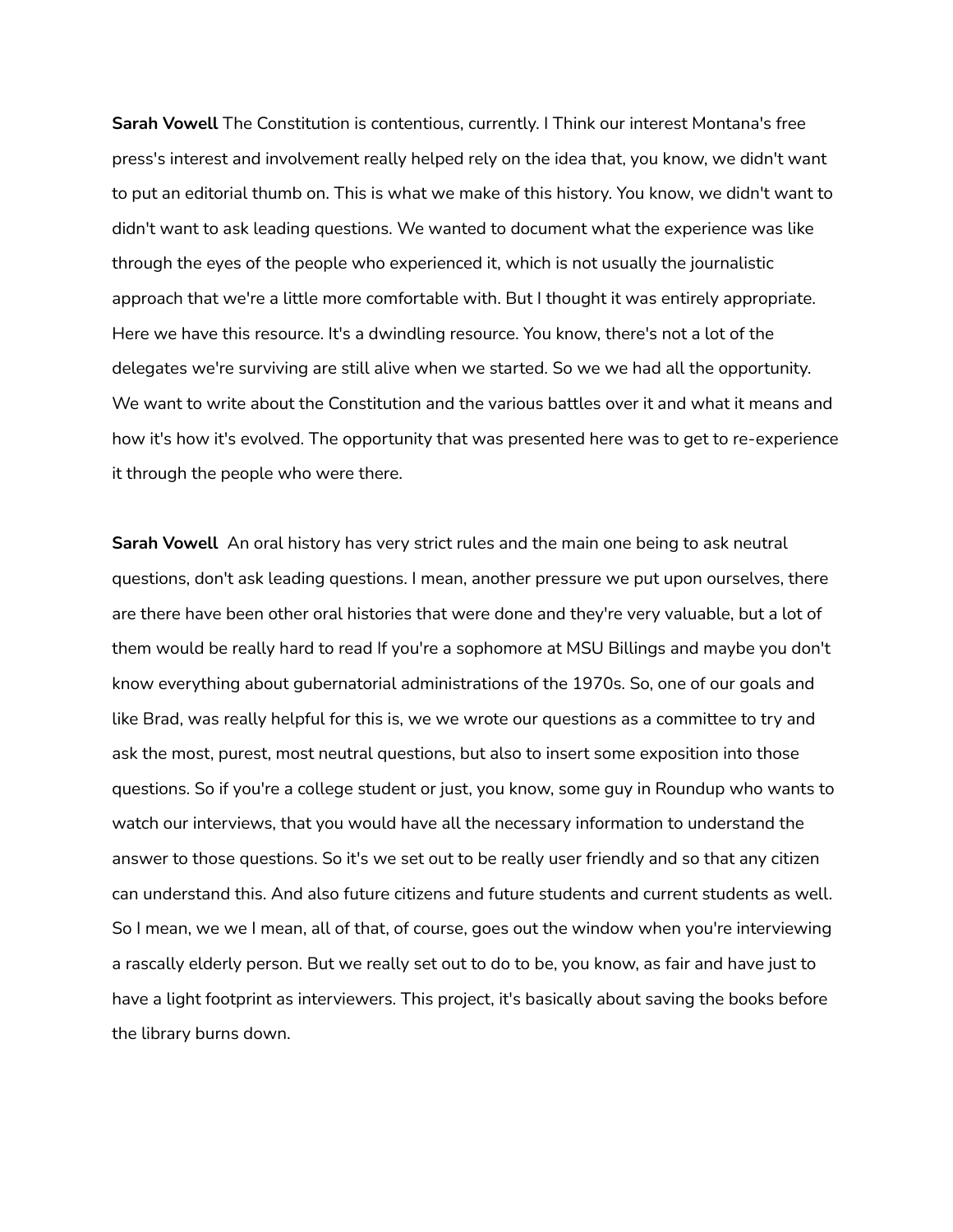**Sarah Vowell** The Constitution is contentious, currently. I Think our interest Montana's free press's interest and involvement really helped rely on the idea that, you know, we didn't want to put an editorial thumb on. This is what we make of this history. You know, we didn't want to didn't want to ask leading questions. We wanted to document what the experience was like through the eyes of the people who experienced it, which is not usually the journalistic approach that we're a little more comfortable with. But I thought it was entirely appropriate. Here we have this resource. It's a dwindling resource. You know, there's not a lot of the delegates we're surviving are still alive when we started. So we we had all the opportunity. We want to write about the Constitution and the various battles over it and what it means and how it's how it's evolved. The opportunity that was presented here was to get to re-experience it through the people who were there.

**Sarah Vowell** An oral history has very strict rules and the main one being to ask neutral questions, don't ask leading questions. I mean, another pressure we put upon ourselves, there are there have been other oral histories that were done and they're very valuable, but a lot of them would be really hard to read If you're a sophomore at MSU Billings and maybe you don't know everything about gubernatorial administrations of the 1970s. So, one of our goals and like Brad, was really helpful for this is, we we wrote our questions as a committee to try and ask the most, purest, most neutral questions, but also to insert some exposition into those questions. So if you're a college student or just, you know, some guy in Roundup who wants to watch our interviews, that you would have all the necessary information to understand the answer to those questions. So it's we set out to be really user friendly and so that any citizen can understand this. And also future citizens and future students and current students as well. So I mean, we we I mean, all of that, of course, goes out the window when you're interviewing a rascally elderly person. But we really set out to do to be, you know, as fair and have just to have a light footprint as interviewers. This project, it's basically about saving the books before the library burns down.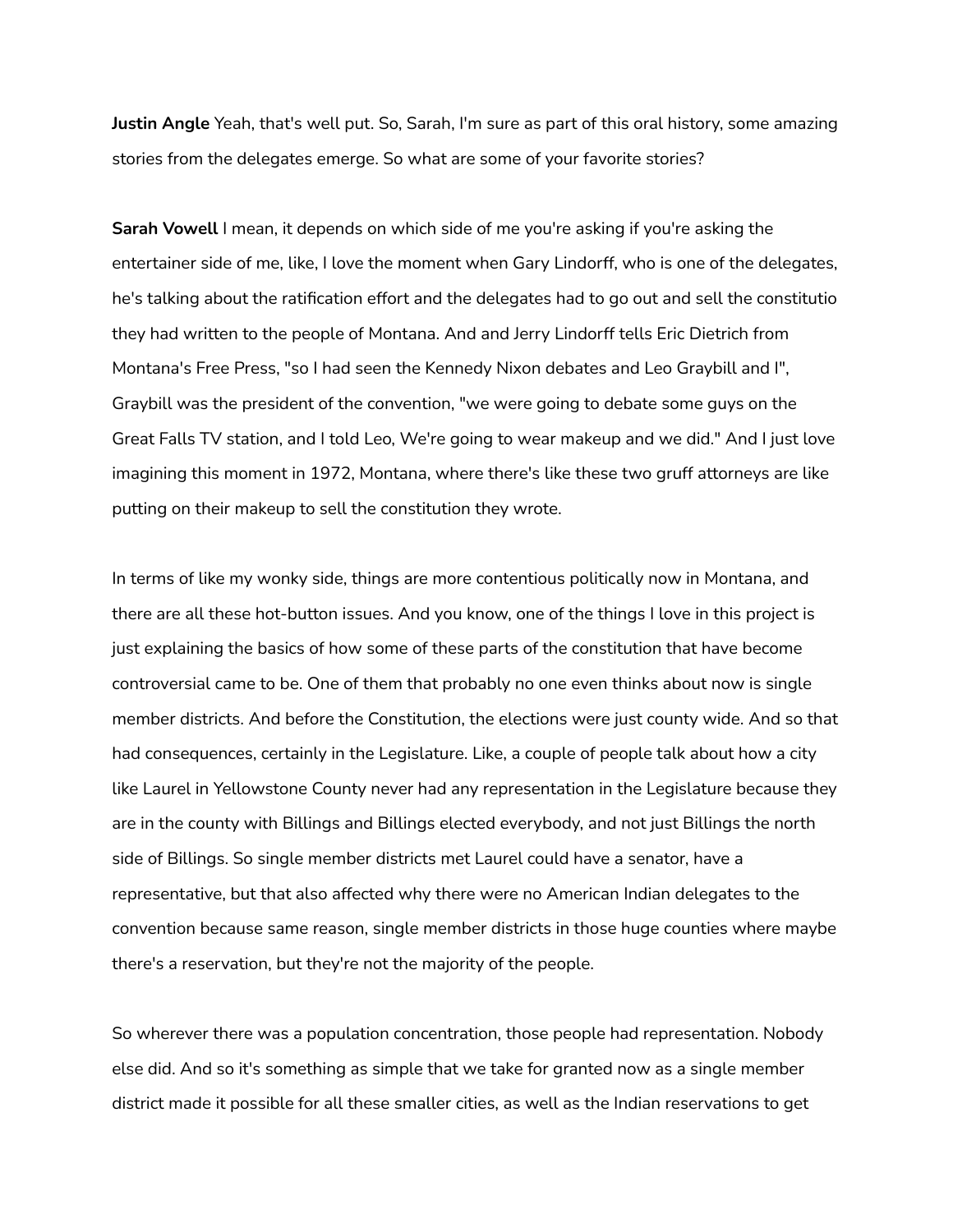**Justin Angle** Yeah, that's well put. So, Sarah, I'm sure as part of this oral history, some amazing stories from the delegates emerge. So what are some of your favorite stories?

**Sarah Vowell** I mean, it depends on which side of me you're asking if you're asking the entertainer side of me, like, I love the moment when Gary Lindorff, who is one of the delegates, he's talking about the ratification effort and the delegates had to go out and sell the constitutio they had written to the people of Montana. And and Jerry Lindorff tells Eric Dietrich from Montana's Free Press, "so I had seen the Kennedy Nixon debates and Leo Graybill and I", Graybill was the president of the convention, "we were going to debate some guys on the Great Falls TV station, and I told Leo, We're going to wear makeup and we did." And I just love imagining this moment in 1972, Montana, where there's like these two gruff attorneys are like putting on their makeup to sell the constitution they wrote.

In terms of like my wonky side, things are more contentious politically now in Montana, and there are all these hot-button issues. And you know, one of the things I love in this project is just explaining the basics of how some of these parts of the constitution that have become controversial came to be. One of them that probably no one even thinks about now is single member districts. And before the Constitution, the elections were just county wide. And so that had consequences, certainly in the Legislature. Like, a couple of people talk about how a city like Laurel in Yellowstone County never had any representation in the Legislature because they are in the county with Billings and Billings elected everybody, and not just Billings the north side of Billings. So single member districts met Laurel could have a senator, have a representative, but that also affected why there were no American Indian delegates to the convention because same reason, single member districts in those huge counties where maybe there's a reservation, but they're not the majority of the people.

So wherever there was a population concentration, those people had representation. Nobody else did. And so it's something as simple that we take for granted now as a single member district made it possible for all these smaller cities, as well as the Indian reservations to get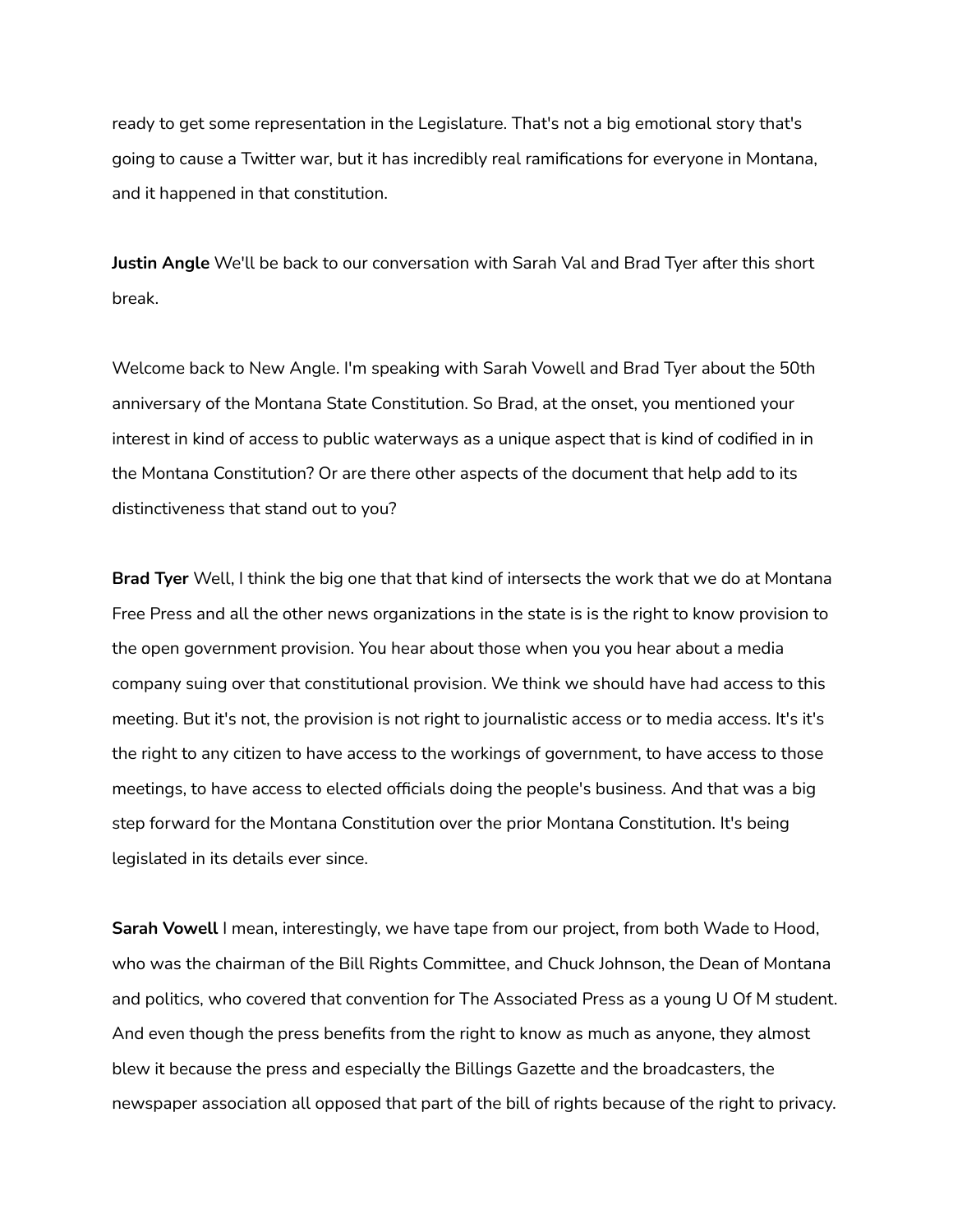ready to get some representation in the Legislature. That's not a big emotional story that's going to cause a Twitter war, but it has incredibly real ramifications for everyone in Montana, and it happened in that constitution.

**Justin Angle** We'll be back to our conversation with Sarah Val and Brad Tyer after this short break.

Welcome back to New Angle. I'm speaking with Sarah Vowell and Brad Tyer about the 50th anniversary of the Montana State Constitution. So Brad, at the onset, you mentioned your interest in kind of access to public waterways as a unique aspect that is kind of codified in in the Montana Constitution? Or are there other aspects of the document that help add to its distinctiveness that stand out to you?

**Brad Tyer** Well, I think the big one that that kind of intersects the work that we do at Montana Free Press and all the other news organizations in the state is is the right to know provision to the open government provision. You hear about those when you you hear about a media company suing over that constitutional provision. We think we should have had access to this meeting. But it's not, the provision is not right to journalistic access or to media access. It's it's the right to any citizen to have access to the workings of government, to have access to those meetings, to have access to elected officials doing the people's business. And that was a big step forward for the Montana Constitution over the prior Montana Constitution. It's being legislated in its details ever since.

**Sarah Vowell** I mean, interestingly, we have tape from our project, from both Wade to Hood, who was the chairman of the Bill Rights Committee, and Chuck Johnson, the Dean of Montana and politics, who covered that convention for The Associated Press as a young U Of M student. And even though the press benefits from the right to know as much as anyone, they almost blew it because the press and especially the Billings Gazette and the broadcasters, the newspaper association all opposed that part of the bill of rights because of the right to privacy.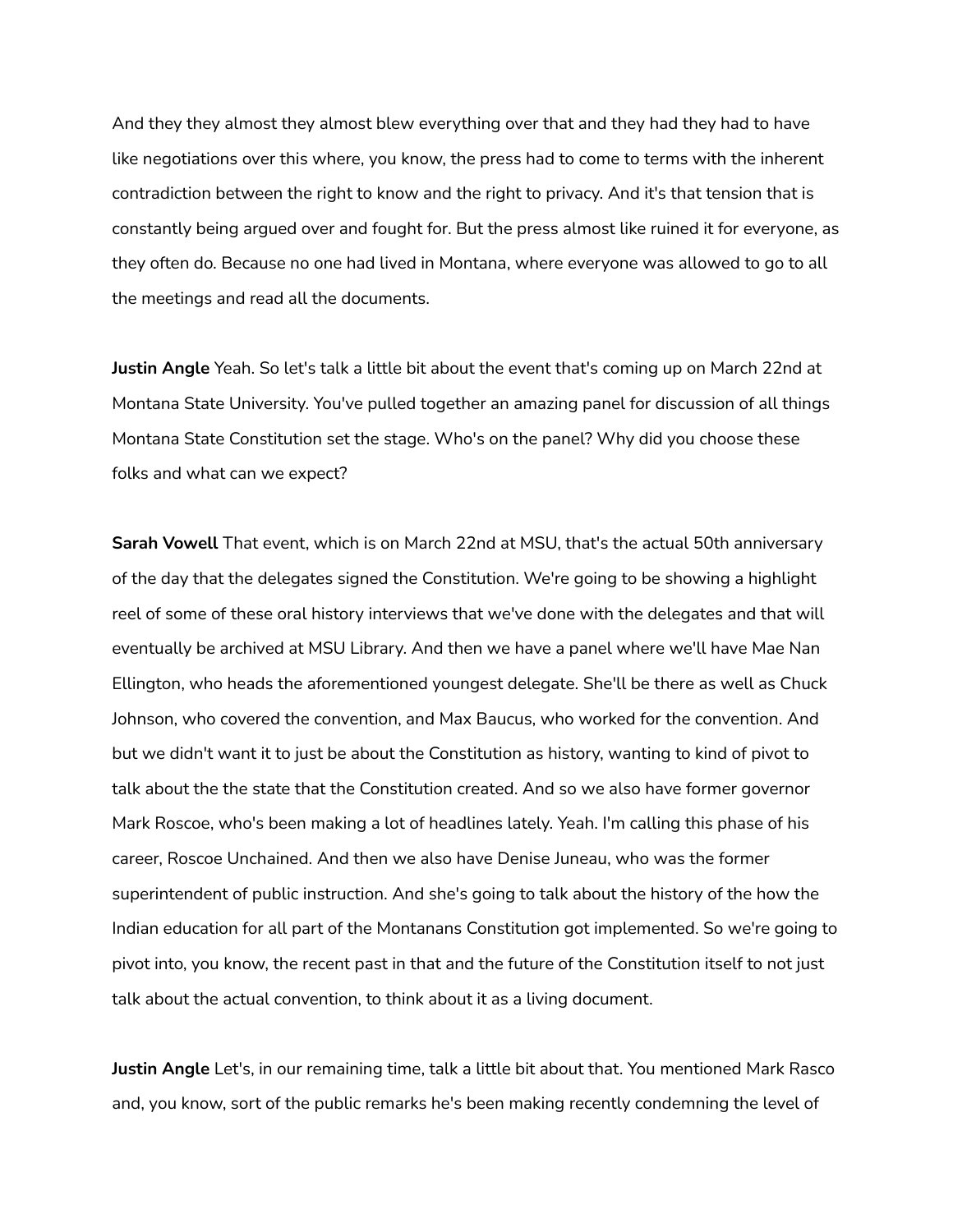And they they almost they almost blew everything over that and they had they had to have like negotiations over this where, you know, the press had to come to terms with the inherent contradiction between the right to know and the right to privacy. And it's that tension that is constantly being argued over and fought for. But the press almost like ruined it for everyone, as they often do. Because no one had lived in Montana, where everyone was allowed to go to all the meetings and read all the documents.

**Justin Angle** Yeah. So let's talk a little bit about the event that's coming up on March 22nd at Montana State University. You've pulled together an amazing panel for discussion of all things Montana State Constitution set the stage. Who's on the panel? Why did you choose these folks and what can we expect?

**Sarah Vowell** That event, which is on March 22nd at MSU, that's the actual 50th anniversary of the day that the delegates signed the Constitution. We're going to be showing a highlight reel of some of these oral history interviews that we've done with the delegates and that will eventually be archived at MSU Library. And then we have a panel where we'll have Mae Nan Ellington, who heads the aforementioned youngest delegate. She'll be there as well as Chuck Johnson, who covered the convention, and Max Baucus, who worked for the convention. And but we didn't want it to just be about the Constitution as history, wanting to kind of pivot to talk about the the state that the Constitution created. And so we also have former governor Mark Roscoe, who's been making a lot of headlines lately. Yeah. I'm calling this phase of his career, Roscoe Unchained. And then we also have Denise Juneau, who was the former superintendent of public instruction. And she's going to talk about the history of the how the Indian education for all part of the Montanans Constitution got implemented. So we're going to pivot into, you know, the recent past in that and the future of the Constitution itself to not just talk about the actual convention, to think about it as a living document.

**Justin Angle** Let's, in our remaining time, talk a little bit about that. You mentioned Mark Rasco and, you know, sort of the public remarks he's been making recently condemning the level of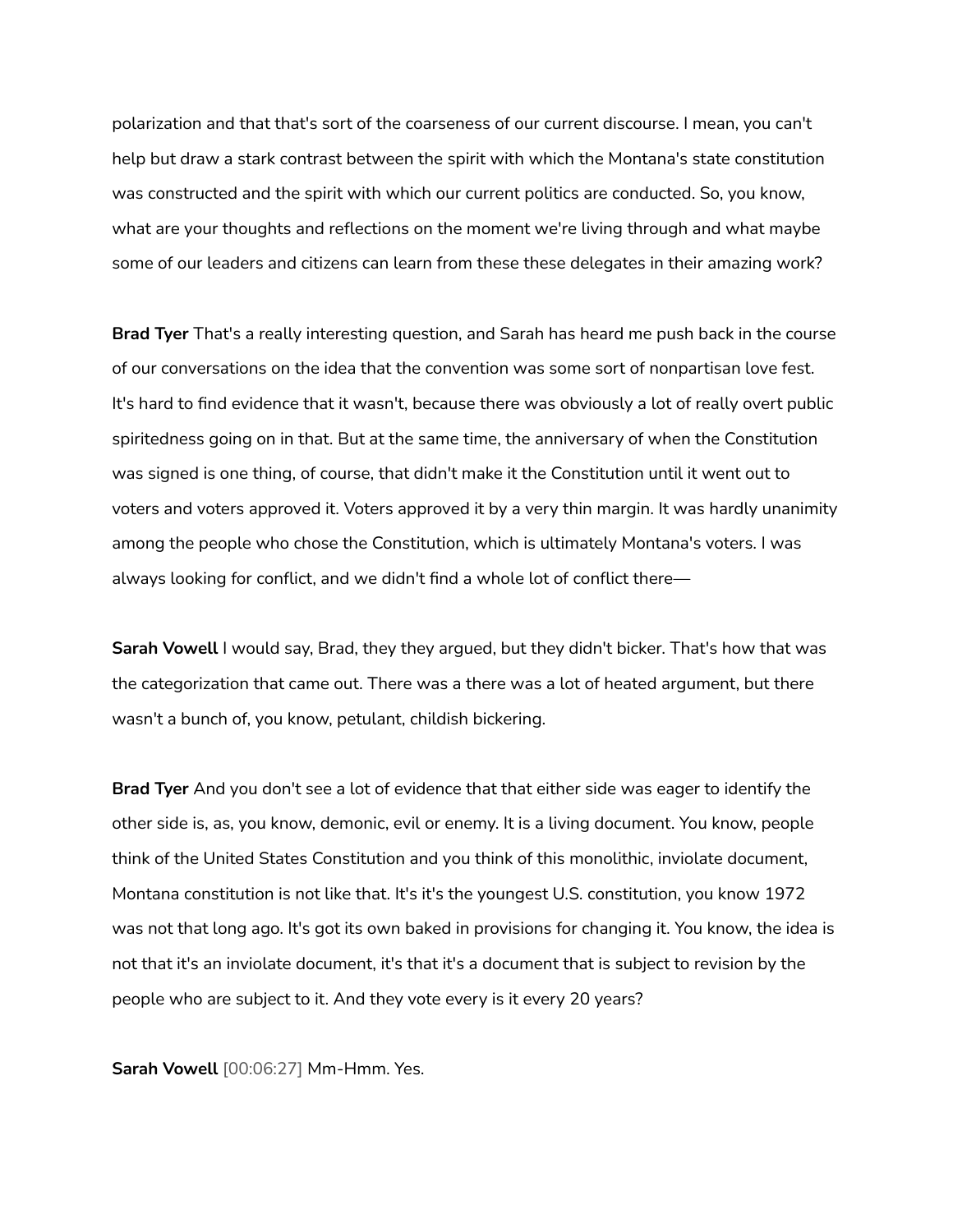polarization and that that's sort of the coarseness of our current discourse. I mean, you can't help but draw a stark contrast between the spirit with which the Montana's state constitution was constructed and the spirit with which our current politics are conducted. So, you know, what are your thoughts and reflections on the moment we're living through and what maybe some of our leaders and citizens can learn from these these delegates in their amazing work?

**Brad Tyer** That's a really interesting question, and Sarah has heard me push back in the course of our conversations on the idea that the convention was some sort of nonpartisan love fest. It's hard to find evidence that it wasn't, because there was obviously a lot of really overt public spiritedness going on in that. But at the same time, the anniversary of when the Constitution was signed is one thing, of course, that didn't make it the Constitution until it went out to voters and voters approved it. Voters approved it by a very thin margin. It was hardly unanimity among the people who chose the Constitution, which is ultimately Montana's voters. I was always looking for conflict, and we didn't find a whole lot of conflict there—

**Sarah Vowell** I would say, Brad, they they argued, but they didn't bicker. That's how that was the categorization that came out. There was a there was a lot of heated argument, but there wasn't a bunch of, you know, petulant, childish bickering.

**Brad Tyer** And you don't see a lot of evidence that that either side was eager to identify the other side is, as, you know, demonic, evil or enemy. It is a living document. You know, people think of the United States Constitution and you think of this monolithic, inviolate document, Montana constitution is not like that. It's it's the youngest U.S. constitution, you know 1972 was not that long ago. It's got its own baked in provisions for changing it. You know, the idea is not that it's an inviolate document, it's that it's a document that is subject to revision by the people who are subject to it. And they vote every is it every 20 years?

**Sarah Vowell** [00:06:27] Mm-Hmm. Yes.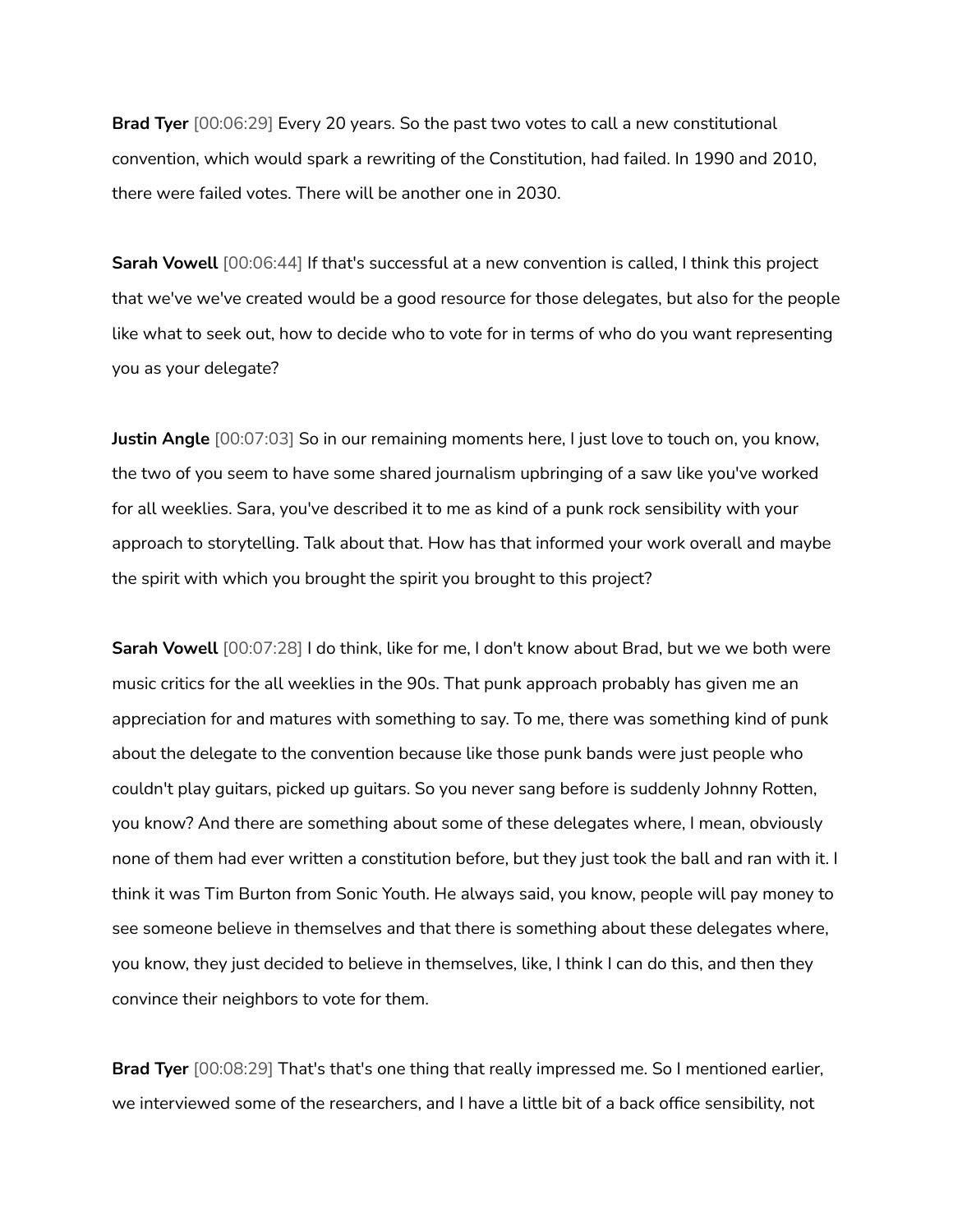**Brad Tyer** [00:06:29] Every 20 years. So the past two votes to call a new constitutional convention, which would spark a rewriting of the Constitution, had failed. In 1990 and 2010, there were failed votes. There will be another one in 2030.

**Sarah Vowell** [00:06:44] If that's successful at a new convention is called, I think this project that we've we've created would be a good resource for those delegates, but also for the people like what to seek out, how to decide who to vote for in terms of who do you want representing you as your delegate?

**Justin Angle** [00:07:03] So in our remaining moments here, I just love to touch on, you know, the two of you seem to have some shared journalism upbringing of a saw like you've worked for all weeklies. Sara, you've described it to me as kind of a punk rock sensibility with your approach to storytelling. Talk about that. How has that informed your work overall and maybe the spirit with which you brought the spirit you brought to this project?

**Sarah Vowell** [00:07:28] I do think, like for me, I don't know about Brad, but we we both were music critics for the all weeklies in the 90s. That punk approach probably has given me an appreciation for and matures with something to say. To me, there was something kind of punk about the delegate to the convention because like those punk bands were just people who couldn't play guitars, picked up guitars. So you never sang before is suddenly Johnny Rotten, you know? And there are something about some of these delegates where, I mean, obviously none of them had ever written a constitution before, but they just took the ball and ran with it. I think it was Tim Burton from Sonic Youth. He always said, you know, people will pay money to see someone believe in themselves and that there is something about these delegates where, you know, they just decided to believe in themselves, like, I think I can do this, and then they convince their neighbors to vote for them.

**Brad Tyer** [00:08:29] That's that's one thing that really impressed me. So I mentioned earlier, we interviewed some of the researchers, and I have a little bit of a back office sensibility, not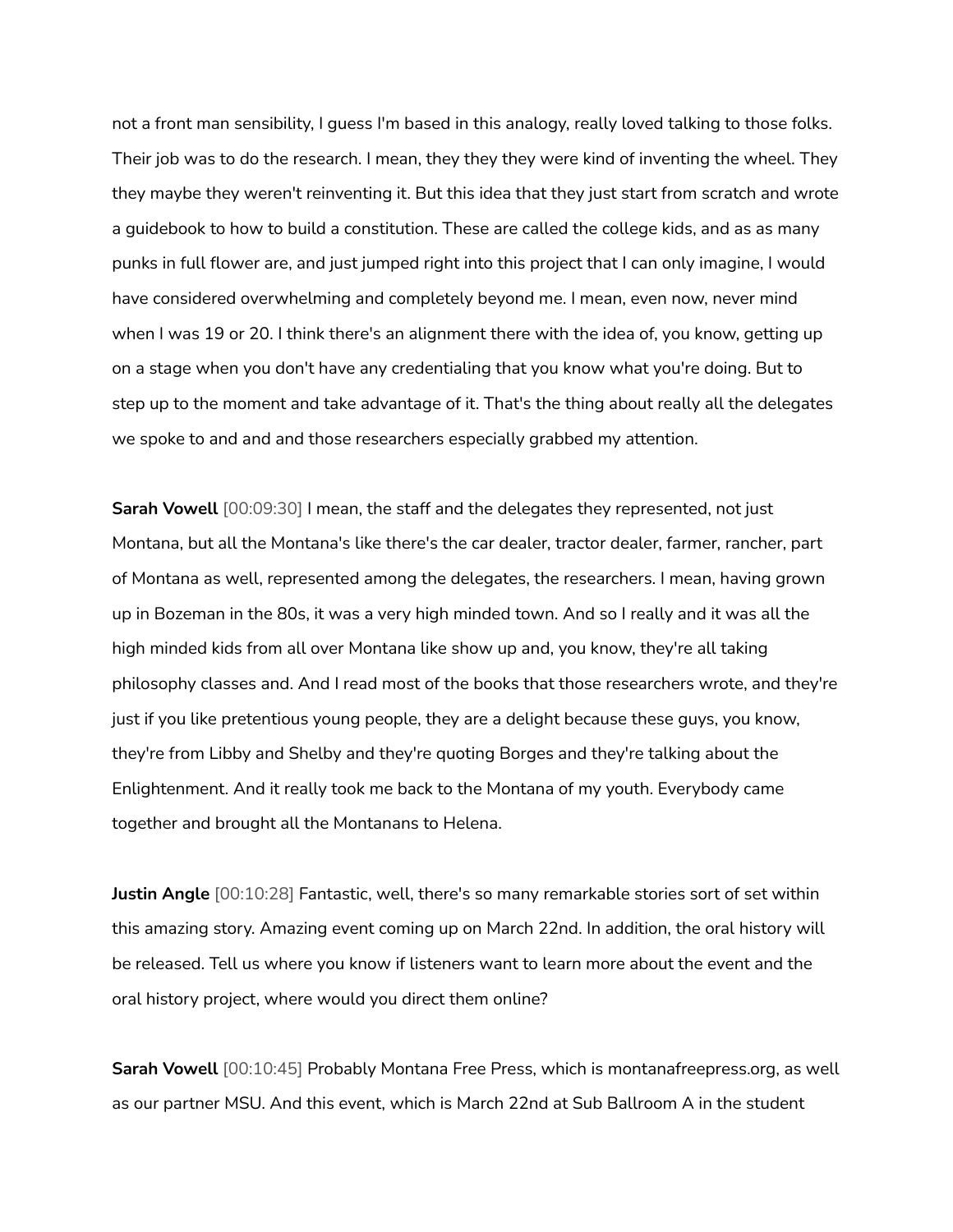not a front man sensibility, I guess I'm based in this analogy, really loved talking to those folks. Their job was to do the research. I mean, they they they were kind of inventing the wheel. They they maybe they weren't reinventing it. But this idea that they just start from scratch and wrote a guidebook to how to build a constitution. These are called the college kids, and as as many punks in full flower are, and just jumped right into this project that I can only imagine, I would have considered overwhelming and completely beyond me. I mean, even now, never mind when I was 19 or 20. I think there's an alignment there with the idea of, you know, getting up on a stage when you don't have any credentialing that you know what you're doing. But to step up to the moment and take advantage of it. That's the thing about really all the delegates we spoke to and and and those researchers especially grabbed my attention.

**Sarah Vowell** [00:09:30] I mean, the staff and the delegates they represented, not just Montana, but all the Montana's like there's the car dealer, tractor dealer, farmer, rancher, part of Montana as well, represented among the delegates, the researchers. I mean, having grown up in Bozeman in the 80s, it was a very high minded town. And so I really and it was all the high minded kids from all over Montana like show up and, you know, they're all taking philosophy classes and. And I read most of the books that those researchers wrote, and they're just if you like pretentious young people, they are a delight because these guys, you know, they're from Libby and Shelby and they're quoting Borges and they're talking about the Enlightenment. And it really took me back to the Montana of my youth. Everybody came together and brought all the Montanans to Helena.

**Justin Angle** [00:10:28] Fantastic, well, there's so many remarkable stories sort of set within this amazing story. Amazing event coming up on March 22nd. In addition, the oral history will be released. Tell us where you know if listeners want to learn more about the event and the oral history project, where would you direct them online?

**Sarah Vowell** [00:10:45] Probably Montana Free Press, which is montanafreepress.org, as well as our partner MSU. And this event, which is March 22nd at Sub Ballroom A in the student